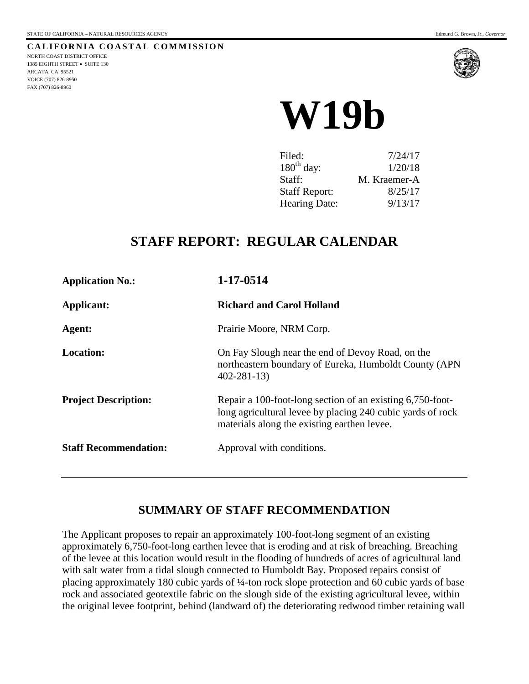**CALIFORNIA COASTAL COMMISSION** NORTH COAST DISTRICT OFFICE 1385 EIGHTH STREET • SUITE 130 ARCATA, CA 95521 VOICE (707) 826-8950 FAX (707) 826-8960



# **W19b**

| Filed:               | 7/24/17      |
|----------------------|--------------|
| $180th$ day:         | 1/20/18      |
| Staff:               | M. Kraemer-A |
| <b>Staff Report:</b> | 8/25/17      |
| Hearing Date:        | 9/13/17      |

## **STAFF REPORT: REGULAR CALENDAR**

| <b>Application No.:</b>      | 1-17-0514                                                                                                                                                              |
|------------------------------|------------------------------------------------------------------------------------------------------------------------------------------------------------------------|
| Applicant:                   | <b>Richard and Carol Holland</b>                                                                                                                                       |
| Agent:                       | Prairie Moore, NRM Corp.                                                                                                                                               |
| <b>Location:</b>             | On Fay Slough near the end of Devoy Road, on the<br>northeastern boundary of Eureka, Humboldt County (APN<br>$402 - 281 - 13$                                          |
| <b>Project Description:</b>  | Repair a 100-foot-long section of an existing 6,750-foot-<br>long agricultural levee by placing 240 cubic yards of rock<br>materials along the existing earthen levee. |
| <b>Staff Recommendation:</b> | Approval with conditions.                                                                                                                                              |

## **SUMMARY OF STAFF RECOMMENDATION**

The Applicant proposes to repair an approximately 100-foot-long segment of an existing approximately 6,750-foot-long earthen levee that is eroding and at risk of breaching. Breaching of the levee at this location would result in the flooding of hundreds of acres of agricultural land with salt water from a tidal slough connected to Humboldt Bay. Proposed repairs consist of placing approximately 180 cubic yards of ¼-ton rock slope protection and 60 cubic yards of base rock and associated geotextile fabric on the slough side of the existing agricultural levee, within the original levee footprint, behind (landward of) the deteriorating redwood timber retaining wall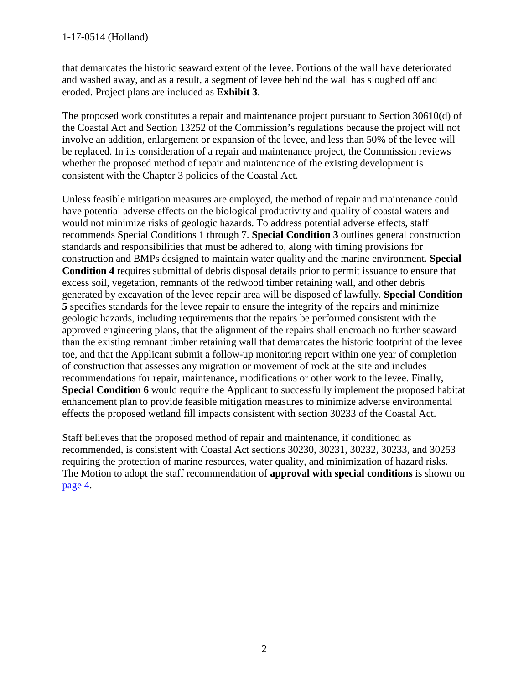that demarcates the historic seaward extent of the levee. Portions of the wall have deteriorated and washed away, and as a result, a segment of levee behind the wall has sloughed off and eroded. Project plans are included as **Exhibit 3**.

The proposed work constitutes a repair and maintenance project pursuant to Section 30610(d) of the Coastal Act and Section 13252 of the Commission's regulations because the project will not involve an addition, enlargement or expansion of the levee, and less than 50% of the levee will be replaced. In its consideration of a repair and maintenance project, the Commission reviews whether the proposed method of repair and maintenance of the existing development is consistent with the Chapter 3 policies of the Coastal Act.

Unless feasible mitigation measures are employed, the method of repair and maintenance could have potential adverse effects on the biological productivity and quality of coastal waters and would not minimize risks of geologic hazards. To address potential adverse effects, staff recommends Special Conditions 1 through 7. **Special Condition 3** outlines general construction standards and responsibilities that must be adhered to, along with timing provisions for construction and BMPs designed to maintain water quality and the marine environment. **Special Condition 4** requires submittal of debris disposal details prior to permit issuance to ensure that excess soil, vegetation, remnants of the redwood timber retaining wall, and other debris generated by excavation of the levee repair area will be disposed of lawfully. **Special Condition 5** specifies standards for the levee repair to ensure the integrity of the repairs and minimize geologic hazards, including requirements that the repairs be performed consistent with the approved engineering plans, that the alignment of the repairs shall encroach no further seaward than the existing remnant timber retaining wall that demarcates the historic footprint of the levee toe, and that the Applicant submit a follow-up monitoring report within one year of completion of construction that assesses any migration or movement of rock at the site and includes recommendations for repair, maintenance, modifications or other work to the levee. Finally, **Special Condition 6** would require the Applicant to successfully implement the proposed habitat enhancement plan to provide feasible mitigation measures to minimize adverse environmental effects the proposed wetland fill impacts consistent with section 30233 of the Coastal Act.

Staff believes that the proposed method of repair and maintenance, if conditioned as recommended, is consistent with Coastal Act sections 30230, 30231, 30232, 30233, and 30253 requiring the protection of marine resources, water quality, and minimization of hazard risks. The Motion to adopt the staff recommendation of **approval with special conditions** is shown on [page 4.](#page-3-0)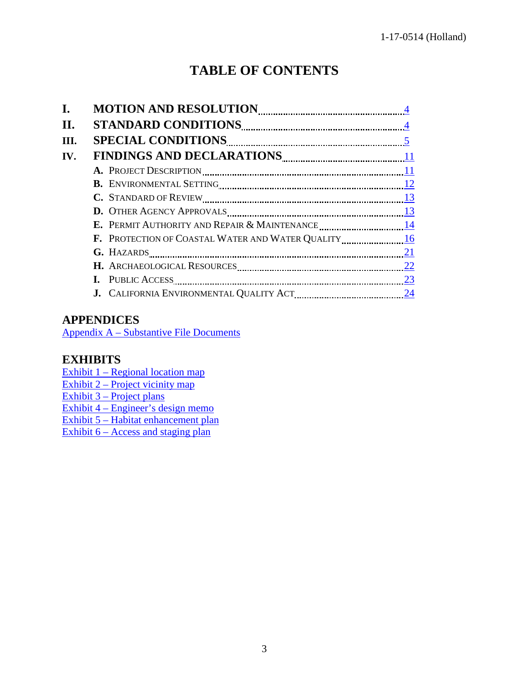# **TABLE OF CONTENTS**

| I.   |                 |  |
|------|-----------------|--|
| Н.   |                 |  |
| III. |                 |  |
| IV.  |                 |  |
|      |                 |  |
|      |                 |  |
|      |                 |  |
|      |                 |  |
|      |                 |  |
|      |                 |  |
|      | G. HAZARDS $21$ |  |
|      |                 |  |
|      |                 |  |
|      |                 |  |

## **APPENDICES**

[Appendix A – Substantive File Documents](#page-24-0)

## **EXHIBITS**

[Exhibit 1 – Regional location map](https://documents.coastal.ca.gov/reports/2017/9/w19b/w19b-9-2017-report.pdf) Exhibit  $2$  – Project vicinity map [Exhibit 3 – Project plans](https://documents.coastal.ca.gov/reports/2017/9/w19b/w19b-9-2017-report.pdf) [Exhibit 4 – Engineer's design memo](https://documents.coastal.ca.gov/reports/2017/9/w19b/w19b-9-2017-report.pdf)  [Exhibit 5 – Habitat enhancement plan](https://documents.coastal.ca.gov/reports/2017/9/w19b/w19b-9-2017-report.pdf) Exhibit  $6 - Access$  and staging plan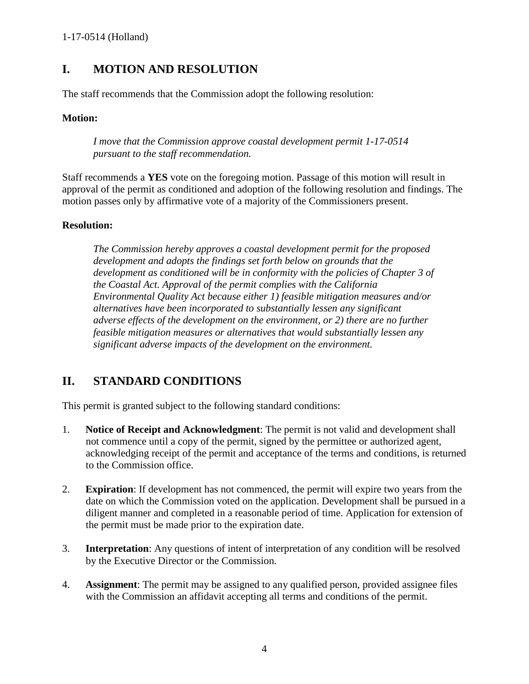## <span id="page-3-0"></span>**I. MOTION AND RESOLUTION**

The staff recommends that the Commission adopt the following resolution:

#### **Motion:**

*I move that the Commission approve coastal development permit 1-17-0514 pursuant to the staff recommendation.* 

Staff recommends a **YES** vote on the foregoing motion. Passage of this motion will result in approval of the permit as conditioned and adoption of the following resolution and findings. The motion passes only by affirmative vote of a majority of the Commissioners present.

#### **Resolution:**

*The Commission hereby approves a coastal development permit for the proposed development and adopts the findings set forth below on grounds that the development as conditioned will be in conformity with the policies of Chapter 3 of the Coastal Act. Approval of the permit complies with the California Environmental Quality Act because either 1) feasible mitigation measures and/or alternatives have been incorporated to substantially lessen any significant adverse effects of the development on the environment, or 2) there are no further feasible mitigation measures or alternatives that would substantially lessen any significant adverse impacts of the development on the environment.* 

## <span id="page-3-1"></span>**II. STANDARD CONDITIONS**

This permit is granted subject to the following standard conditions:

- 1. **Notice of Receipt and Acknowledgment**: The permit is not valid and development shall not commence until a copy of the permit, signed by the permittee or authorized agent, acknowledging receipt of the permit and acceptance of the terms and conditions, is returned to the Commission office.
- 2. **Expiration**: If development has not commenced, the permit will expire two years from the date on which the Commission voted on the application. Development shall be pursued in a diligent manner and completed in a reasonable period of time. Application for extension of the permit must be made prior to the expiration date.
- 3. **Interpretation**: Any questions of intent of interpretation of any condition will be resolved by the Executive Director or the Commission.
- 4. **Assignment**: The permit may be assigned to any qualified person, provided assignee files with the Commission an affidavit accepting all terms and conditions of the permit.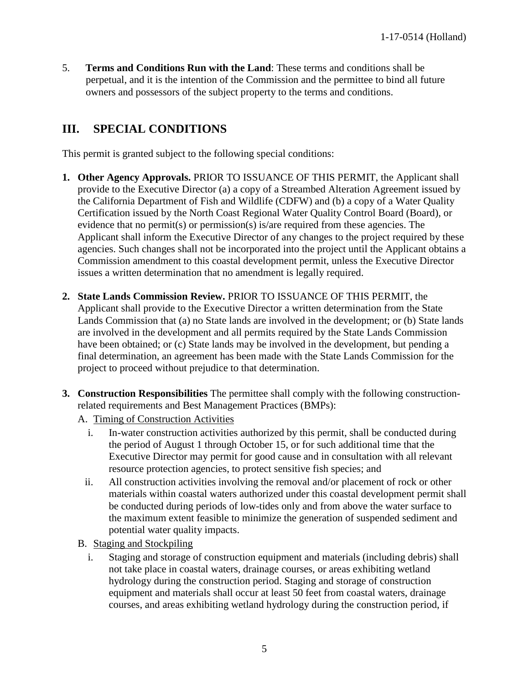5. **Terms and Conditions Run with the Land**: These terms and conditions shall be perpetual, and it is the intention of the Commission and the permittee to bind all future owners and possessors of the subject property to the terms and conditions.

## <span id="page-4-0"></span>**III. SPECIAL CONDITIONS**

This permit is granted subject to the following special conditions:

- **1. Other Agency Approvals.** PRIOR TO ISSUANCE OF THIS PERMIT, the Applicant shall provide to the Executive Director (a) a copy of a Streambed Alteration Agreement issued by the California Department of Fish and Wildlife (CDFW) and (b) a copy of a Water Quality Certification issued by the North Coast Regional Water Quality Control Board (Board), or evidence that no permit(s) or permission(s) is/are required from these agencies. The Applicant shall inform the Executive Director of any changes to the project required by these agencies. Such changes shall not be incorporated into the project until the Applicant obtains a Commission amendment to this coastal development permit, unless the Executive Director issues a written determination that no amendment is legally required.
- **2. State Lands Commission Review.** PRIOR TO ISSUANCE OF THIS PERMIT, the Applicant shall provide to the Executive Director a written determination from the State Lands Commission that (a) no State lands are involved in the development; or (b) State lands are involved in the development and all permits required by the State Lands Commission have been obtained; or (c) State lands may be involved in the development, but pending a final determination, an agreement has been made with the State Lands Commission for the project to proceed without prejudice to that determination.
- **3. Construction Responsibilities** The permittee shall comply with the following constructionrelated requirements and Best Management Practices (BMPs):
	- A. Timing of Construction Activities
		- i. In-water construction activities authorized by this permit, shall be conducted during the period of August 1 through October 15, or for such additional time that the Executive Director may permit for good cause and in consultation with all relevant resource protection agencies, to protect sensitive fish species; and
		- ii. All construction activities involving the removal and/or placement of rock or other materials within coastal waters authorized under this coastal development permit shall be conducted during periods of low-tides only and from above the water surface to the maximum extent feasible to minimize the generation of suspended sediment and potential water quality impacts.
	- B. Staging and Stockpiling
		- i. Staging and storage of construction equipment and materials (including debris) shall not take place in coastal waters, drainage courses, or areas exhibiting wetland hydrology during the construction period. Staging and storage of construction equipment and materials shall occur at least 50 feet from coastal waters, drainage courses, and areas exhibiting wetland hydrology during the construction period, if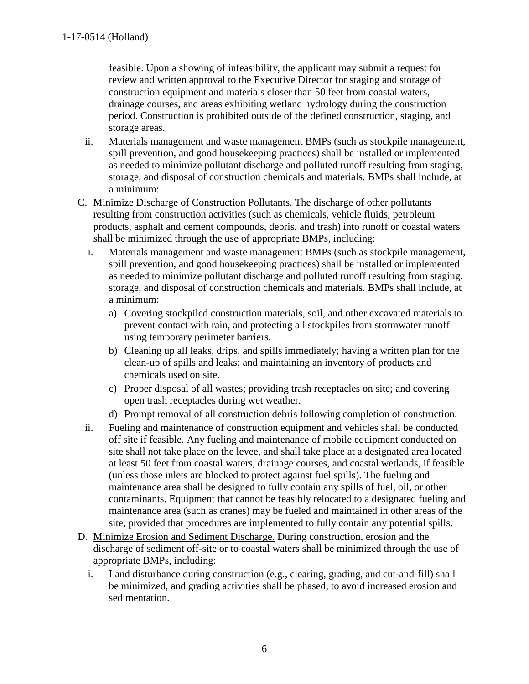feasible. Upon a showing of infeasibility, the applicant may submit a request for review and written approval to the Executive Director for staging and storage of construction equipment and materials closer than 50 feet from coastal waters, drainage courses, and areas exhibiting wetland hydrology during the construction period. Construction is prohibited outside of the defined construction, staging, and storage areas.

- ii. Materials management and waste management BMPs (such as stockpile management, spill prevention, and good housekeeping practices) shall be installed or implemented as needed to minimize pollutant discharge and polluted runoff resulting from staging, storage, and disposal of construction chemicals and materials. BMPs shall include, at a minimum:
- C. Minimize Discharge of Construction Pollutants. The discharge of other pollutants resulting from construction activities (such as chemicals, vehicle fluids, petroleum products, asphalt and cement compounds, debris, and trash) into runoff or coastal waters shall be minimized through the use of appropriate BMPs, including:
	- i. Materials management and waste management BMPs (such as stockpile management, spill prevention, and good housekeeping practices) shall be installed or implemented as needed to minimize pollutant discharge and polluted runoff resulting from staging, storage, and disposal of construction chemicals and materials. BMPs shall include, at a minimum:
		- a) Covering stockpiled construction materials, soil, and other excavated materials to prevent contact with rain, and protecting all stockpiles from stormwater runoff using temporary perimeter barriers.
		- b) Cleaning up all leaks, drips, and spills immediately; having a written plan for the clean-up of spills and leaks; and maintaining an inventory of products and chemicals used on site.
		- c) Proper disposal of all wastes; providing trash receptacles on site; and covering open trash receptacles during wet weather.
		- d) Prompt removal of all construction debris following completion of construction.
	- ii. Fueling and maintenance of construction equipment and vehicles shall be conducted off site if feasible. Any fueling and maintenance of mobile equipment conducted on site shall not take place on the levee, and shall take place at a designated area located at least 50 feet from coastal waters, drainage courses, and coastal wetlands, if feasible (unless those inlets are blocked to protect against fuel spills). The fueling and maintenance area shall be designed to fully contain any spills of fuel, oil, or other contaminants. Equipment that cannot be feasibly relocated to a designated fueling and maintenance area (such as cranes) may be fueled and maintained in other areas of the site, provided that procedures are implemented to fully contain any potential spills.
- D. Minimize Erosion and Sediment Discharge. During construction, erosion and the discharge of sediment off-site or to coastal waters shall be minimized through the use of appropriate BMPs, including:
	- i. Land disturbance during construction (e.g., clearing, grading, and cut-and-fill) shall be minimized, and grading activities shall be phased, to avoid increased erosion and sedimentation.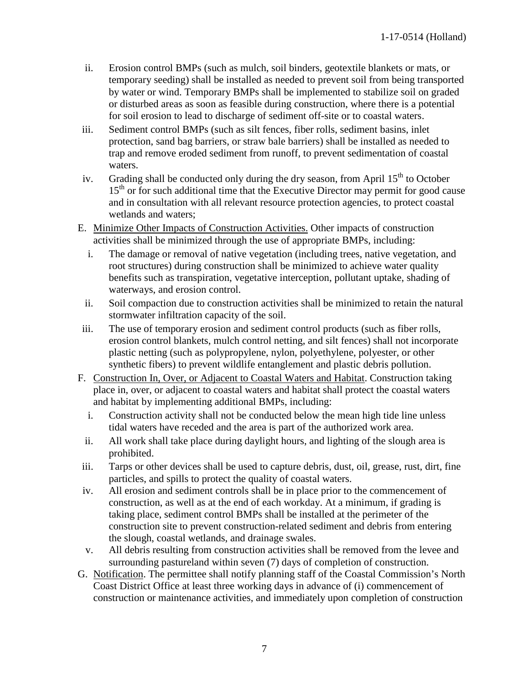- ii. Erosion control BMPs (such as mulch, soil binders, geotextile blankets or mats, or temporary seeding) shall be installed as needed to prevent soil from being transported by water or wind. Temporary BMPs shall be implemented to stabilize soil on graded or disturbed areas as soon as feasible during construction, where there is a potential for soil erosion to lead to discharge of sediment off-site or to coastal waters.
- iii. Sediment control BMPs (such as silt fences, fiber rolls, sediment basins, inlet protection, sand bag barriers, or straw bale barriers) shall be installed as needed to trap and remove eroded sediment from runoff, to prevent sedimentation of coastal waters.
- iv. Grading shall be conducted only during the dry season, from April  $15<sup>th</sup>$  to October  $15<sup>th</sup>$  or for such additional time that the Executive Director may permit for good cause and in consultation with all relevant resource protection agencies, to protect coastal wetlands and waters;
- E. Minimize Other Impacts of Construction Activities. Other impacts of construction activities shall be minimized through the use of appropriate BMPs, including:
	- i. The damage or removal of native vegetation (including trees, native vegetation, and root structures) during construction shall be minimized to achieve water quality benefits such as transpiration, vegetative interception, pollutant uptake, shading of waterways, and erosion control.
	- ii. Soil compaction due to construction activities shall be minimized to retain the natural stormwater infiltration capacity of the soil.
- iii. The use of temporary erosion and sediment control products (such as fiber rolls, erosion control blankets, mulch control netting, and silt fences) shall not incorporate plastic netting (such as polypropylene, nylon, polyethylene, polyester, or other synthetic fibers) to prevent wildlife entanglement and plastic debris pollution.
- F. Construction In, Over, or Adjacent to Coastal Waters and Habitat. Construction taking place in, over, or adjacent to coastal waters and habitat shall protect the coastal waters and habitat by implementing additional BMPs, including:
	- i. Construction activity shall not be conducted below the mean high tide line unless tidal waters have receded and the area is part of the authorized work area.
	- ii. All work shall take place during daylight hours, and lighting of the slough area is prohibited.
- iii. Tarps or other devices shall be used to capture debris, dust, oil, grease, rust, dirt, fine particles, and spills to protect the quality of coastal waters.
- iv. All erosion and sediment controls shall be in place prior to the commencement of construction, as well as at the end of each workday. At a minimum, if grading is taking place, sediment control BMPs shall be installed at the perimeter of the construction site to prevent construction-related sediment and debris from entering the slough, coastal wetlands, and drainage swales.
- v. All debris resulting from construction activities shall be removed from the levee and surrounding pastureland within seven (7) days of completion of construction.
- G. Notification. The permittee shall notify planning staff of the Coastal Commission's North Coast District Office at least three working days in advance of (i) commencement of construction or maintenance activities, and immediately upon completion of construction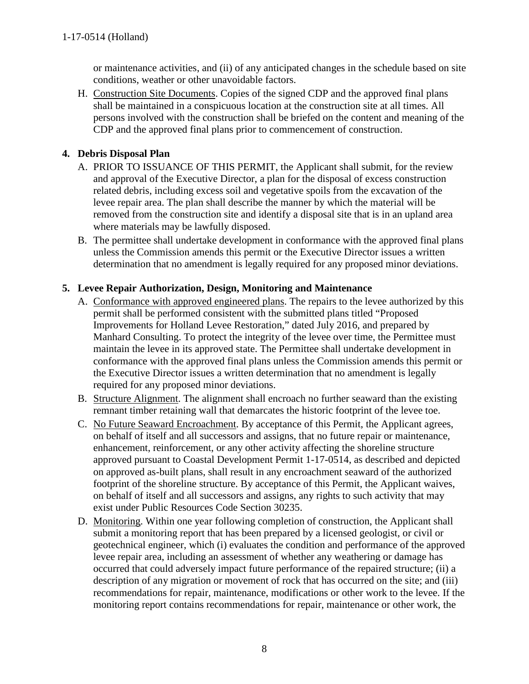or maintenance activities, and (ii) of any anticipated changes in the schedule based on site conditions, weather or other unavoidable factors.

H. Construction Site Documents. Copies of the signed CDP and the approved final plans shall be maintained in a conspicuous location at the construction site at all times. All persons involved with the construction shall be briefed on the content and meaning of the CDP and the approved final plans prior to commencement of construction.

#### **4. Debris Disposal Plan**

- A. PRIOR TO ISSUANCE OF THIS PERMIT, the Applicant shall submit, for the review and approval of the Executive Director, a plan for the disposal of excess construction related debris, including excess soil and vegetative spoils from the excavation of the levee repair area. The plan shall describe the manner by which the material will be removed from the construction site and identify a disposal site that is in an upland area where materials may be lawfully disposed.
- B. The permittee shall undertake development in conformance with the approved final plans unless the Commission amends this permit or the Executive Director issues a written determination that no amendment is legally required for any proposed minor deviations.

#### **5. Levee Repair Authorization, Design, Monitoring and Maintenance**

- A. Conformance with approved engineered plans. The repairs to the levee authorized by this permit shall be performed consistent with the submitted plans titled "Proposed Improvements for Holland Levee Restoration," dated July 2016, and prepared by Manhard Consulting. To protect the integrity of the levee over time, the Permittee must maintain the levee in its approved state. The Permittee shall undertake development in conformance with the approved final plans unless the Commission amends this permit or the Executive Director issues a written determination that no amendment is legally required for any proposed minor deviations.
- B. Structure Alignment. The alignment shall encroach no further seaward than the existing remnant timber retaining wall that demarcates the historic footprint of the levee toe.
- C. No Future Seaward Encroachment. By acceptance of this Permit, the Applicant agrees, on behalf of itself and all successors and assigns, that no future repair or maintenance, enhancement, reinforcement, or any other activity affecting the shoreline structure approved pursuant to Coastal Development Permit 1-17-0514, as described and depicted on approved as-built plans, shall result in any encroachment seaward of the authorized footprint of the shoreline structure. By acceptance of this Permit, the Applicant waives, on behalf of itself and all successors and assigns, any rights to such activity that may exist under Public Resources Code Section 30235.
- D. Monitoring. Within one year following completion of construction, the Applicant shall submit a monitoring report that has been prepared by a licensed geologist, or civil or geotechnical engineer, which (i) evaluates the condition and performance of the approved levee repair area, including an assessment of whether any weathering or damage has occurred that could adversely impact future performance of the repaired structure; (ii) a description of any migration or movement of rock that has occurred on the site; and (iii) recommendations for repair, maintenance, modifications or other work to the levee. If the monitoring report contains recommendations for repair, maintenance or other work, the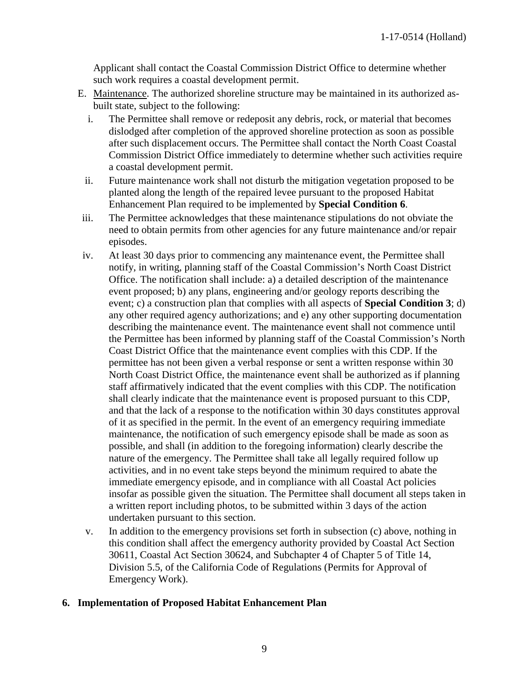Applicant shall contact the Coastal Commission District Office to determine whether such work requires a coastal development permit.

- E. Maintenance. The authorized shoreline structure may be maintained in its authorized asbuilt state, subject to the following:
	- i. The Permittee shall remove or redeposit any debris, rock, or material that becomes dislodged after completion of the approved shoreline protection as soon as possible after such displacement occurs. The Permittee shall contact the North Coast Coastal Commission District Office immediately to determine whether such activities require a coastal development permit.
- ii. Future maintenance work shall not disturb the mitigation vegetation proposed to be planted along the length of the repaired levee pursuant to the proposed Habitat Enhancement Plan required to be implemented by **Special Condition 6**.
- iii. The Permittee acknowledges that these maintenance stipulations do not obviate the need to obtain permits from other agencies for any future maintenance and/or repair episodes.
- iv. At least 30 days prior to commencing any maintenance event, the Permittee shall notify, in writing, planning staff of the Coastal Commission's North Coast District Office. The notification shall include: a) a detailed description of the maintenance event proposed; b) any plans, engineering and/or geology reports describing the event; c) a construction plan that complies with all aspects of **Special Condition 3**; d) any other required agency authorizations; and e) any other supporting documentation describing the maintenance event. The maintenance event shall not commence until the Permittee has been informed by planning staff of the Coastal Commission's North Coast District Office that the maintenance event complies with this CDP. If the permittee has not been given a verbal response or sent a written response within 30 North Coast District Office, the maintenance event shall be authorized as if planning staff affirmatively indicated that the event complies with this CDP. The notification shall clearly indicate that the maintenance event is proposed pursuant to this CDP, and that the lack of a response to the notification within 30 days constitutes approval of it as specified in the permit. In the event of an emergency requiring immediate maintenance, the notification of such emergency episode shall be made as soon as possible, and shall (in addition to the foregoing information) clearly describe the nature of the emergency. The Permittee shall take all legally required follow up activities, and in no event take steps beyond the minimum required to abate the immediate emergency episode, and in compliance with all Coastal Act policies insofar as possible given the situation. The Permittee shall document all steps taken in a written report including photos, to be submitted within 3 days of the action undertaken pursuant to this section.
- v. In addition to the emergency provisions set forth in subsection (c) above, nothing in this condition shall affect the emergency authority provided by Coastal Act Section 30611, Coastal Act Section 30624, and Subchapter 4 of Chapter 5 of Title 14, Division 5.5, of the California Code of Regulations (Permits for Approval of Emergency Work).

#### **6. Implementation of Proposed Habitat Enhancement Plan**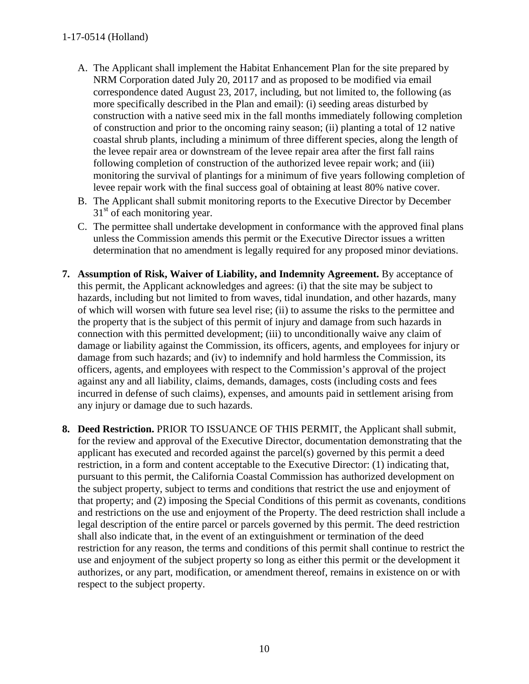#### 1-17-0514 (Holland)

- A. The Applicant shall implement the Habitat Enhancement Plan for the site prepared by NRM Corporation dated July 20, 20117 and as proposed to be modified via email correspondence dated August 23, 2017, including, but not limited to, the following (as more specifically described in the Plan and email): (i) seeding areas disturbed by construction with a native seed mix in the fall months immediately following completion of construction and prior to the oncoming rainy season; (ii) planting a total of 12 native coastal shrub plants, including a minimum of three different species, along the length of the levee repair area or downstream of the levee repair area after the first fall rains following completion of construction of the authorized levee repair work; and (iii) monitoring the survival of plantings for a minimum of five years following completion of levee repair work with the final success goal of obtaining at least 80% native cover.
- B. The Applicant shall submit monitoring reports to the Executive Director by December  $31<sup>st</sup>$  of each monitoring year.
- C. The permittee shall undertake development in conformance with the approved final plans unless the Commission amends this permit or the Executive Director issues a written determination that no amendment is legally required for any proposed minor deviations.
- **7. Assumption of Risk, Waiver of Liability, and Indemnity Agreement.** By acceptance of this permit, the Applicant acknowledges and agrees: (i) that the site may be subject to hazards, including but not limited to from waves, tidal inundation, and other hazards, many of which will worsen with future sea level rise; (ii) to assume the risks to the permittee and the property that is the subject of this permit of injury and damage from such hazards in connection with this permitted development; (iii) to unconditionally waive any claim of damage or liability against the Commission, its officers, agents, and employees for injury or damage from such hazards; and (iv) to indemnify and hold harmless the Commission, its officers, agents, and employees with respect to the Commission's approval of the project against any and all liability, claims, demands, damages, costs (including costs and fees incurred in defense of such claims), expenses, and amounts paid in settlement arising from any injury or damage due to such hazards.
- **8. Deed Restriction.** PRIOR TO ISSUANCE OF THIS PERMIT, the Applicant shall submit, for the review and approval of the Executive Director, documentation demonstrating that the applicant has executed and recorded against the parcel(s) governed by this permit a deed restriction, in a form and content acceptable to the Executive Director: (1) indicating that, pursuant to this permit, the California Coastal Commission has authorized development on the subject property, subject to terms and conditions that restrict the use and enjoyment of that property; and (2) imposing the Special Conditions of this permit as covenants, conditions and restrictions on the use and enjoyment of the Property. The deed restriction shall include a legal description of the entire parcel or parcels governed by this permit. The deed restriction shall also indicate that, in the event of an extinguishment or termination of the deed restriction for any reason, the terms and conditions of this permit shall continue to restrict the use and enjoyment of the subject property so long as either this permit or the development it authorizes, or any part, modification, or amendment thereof, remains in existence on or with respect to the subject property.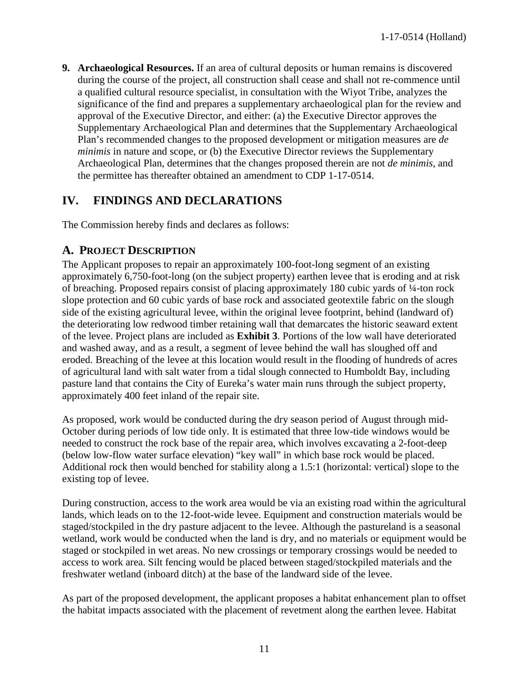**9. Archaeological Resources.** If an area of cultural deposits or human remains is discovered during the course of the project, all construction shall cease and shall not re-commence until a qualified cultural resource specialist, in consultation with the Wiyot Tribe, analyzes the significance of the find and prepares a supplementary archaeological plan for the review and approval of the Executive Director, and either: (a) the Executive Director approves the Supplementary Archaeological Plan and determines that the Supplementary Archaeological Plan's recommended changes to the proposed development or mitigation measures are *de minimis* in nature and scope, or (b) the Executive Director reviews the Supplementary Archaeological Plan, determines that the changes proposed therein are not *de minimis*, and the permittee has thereafter obtained an amendment to CDP 1-17-0514.

## <span id="page-10-0"></span>**IV. FINDINGS AND DECLARATIONS**

The Commission hereby finds and declares as follows:

### <span id="page-10-1"></span>**A. PROJECT DESCRIPTION**

The Applicant proposes to repair an approximately 100-foot-long segment of an existing approximately 6,750-foot-long (on the subject property) earthen levee that is eroding and at risk of breaching. Proposed repairs consist of placing approximately 180 cubic yards of ¼-ton rock slope protection and 60 cubic yards of base rock and associated geotextile fabric on the slough side of the existing agricultural levee, within the original levee footprint, behind (landward of) the deteriorating low redwood timber retaining wall that demarcates the historic seaward extent of the levee. Project plans are included as **Exhibit 3**. Portions of the low wall have deteriorated and washed away, and as a result, a segment of levee behind the wall has sloughed off and eroded. Breaching of the levee at this location would result in the flooding of hundreds of acres of agricultural land with salt water from a tidal slough connected to Humboldt Bay, including pasture land that contains the City of Eureka's water main runs through the subject property, approximately 400 feet inland of the repair site.

As proposed, work would be conducted during the dry season period of August through mid-October during periods of low tide only. It is estimated that three low-tide windows would be needed to construct the rock base of the repair area, which involves excavating a 2-foot-deep (below low-flow water surface elevation) "key wall" in which base rock would be placed. Additional rock then would benched for stability along a 1.5:1 (horizontal: vertical) slope to the existing top of levee.

During construction, access to the work area would be via an existing road within the agricultural lands, which leads on to the 12-foot-wide levee. Equipment and construction materials would be staged/stockpiled in the dry pasture adjacent to the levee. Although the pastureland is a seasonal wetland, work would be conducted when the land is dry, and no materials or equipment would be staged or stockpiled in wet areas. No new crossings or temporary crossings would be needed to access to work area. Silt fencing would be placed between staged/stockpiled materials and the freshwater wetland (inboard ditch) at the base of the landward side of the levee.

As part of the proposed development, the applicant proposes a habitat enhancement plan to offset the habitat impacts associated with the placement of revetment along the earthen levee. Habitat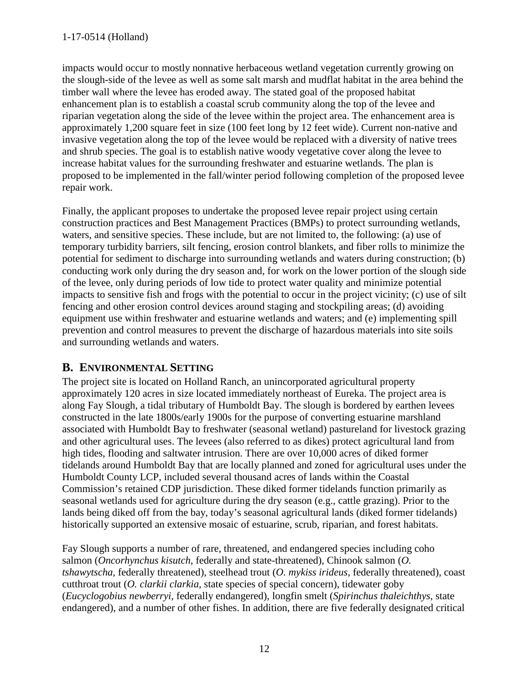impacts would occur to mostly nonnative herbaceous wetland vegetation currently growing on the slough-side of the levee as well as some salt marsh and mudflat habitat in the area behind the timber wall where the levee has eroded away. The stated goal of the proposed habitat enhancement plan is to establish a coastal scrub community along the top of the levee and riparian vegetation along the side of the levee within the project area. The enhancement area is approximately 1,200 square feet in size (100 feet long by 12 feet wide). Current non-native and invasive vegetation along the top of the levee would be replaced with a diversity of native trees and shrub species. The goal is to establish native woody vegetative cover along the levee to increase habitat values for the surrounding freshwater and estuarine wetlands. The plan is proposed to be implemented in the fall/winter period following completion of the proposed levee repair work.

Finally, the applicant proposes to undertake the proposed levee repair project using certain construction practices and Best Management Practices (BMPs) to protect surrounding wetlands, waters, and sensitive species. These include, but are not limited to, the following: (a) use of temporary turbidity barriers, silt fencing, erosion control blankets, and fiber rolls to minimize the potential for sediment to discharge into surrounding wetlands and waters during construction; (b) conducting work only during the dry season and, for work on the lower portion of the slough side of the levee, only during periods of low tide to protect water quality and minimize potential impacts to sensitive fish and frogs with the potential to occur in the project vicinity; (c) use of silt fencing and other erosion control devices around staging and stockpiling areas; (d) avoiding equipment use within freshwater and estuarine wetlands and waters; and (e) implementing spill prevention and control measures to prevent the discharge of hazardous materials into site soils and surrounding wetlands and waters.

## <span id="page-11-0"></span>**B. ENVIRONMENTAL SETTING**

The project site is located on Holland Ranch, an unincorporated agricultural property approximately 120 acres in size located immediately northeast of Eureka. The project area is along Fay Slough, a tidal tributary of Humboldt Bay. The slough is bordered by earthen levees constructed in the late 1800s/early 1900s for the purpose of converting estuarine marshland associated with Humboldt Bay to freshwater (seasonal wetland) pastureland for livestock grazing and other agricultural uses. The levees (also referred to as dikes) protect agricultural land from high tides, flooding and saltwater intrusion. There are over 10,000 acres of diked former tidelands around Humboldt Bay that are locally planned and zoned for agricultural uses under the Humboldt County LCP, included several thousand acres of lands within the Coastal Commission's retained CDP jurisdiction. These diked former tidelands function primarily as seasonal wetlands used for agriculture during the dry season (e.g., cattle grazing). Prior to the lands being diked off from the bay, today's seasonal agricultural lands (diked former tidelands) historically supported an extensive mosaic of estuarine, scrub, riparian, and forest habitats.

Fay Slough supports a number of rare, threatened, and endangered species including coho salmon (*Oncorhynchus kisutch*, federally and state-threatened), Chinook salmon (*O. tshawytscha*, federally threatened), steelhead trout (*O. mykiss irideus*, federally threatened), coast cutthroat trout (*O. clarkii clarkia*, state species of special concern), tidewater goby (*Eucyclogobius newberryi*, federally endangered), longfin smelt (*Spirinchus thaleichthys*, state endangered), and a number of other fishes. In addition, there are five federally designated critical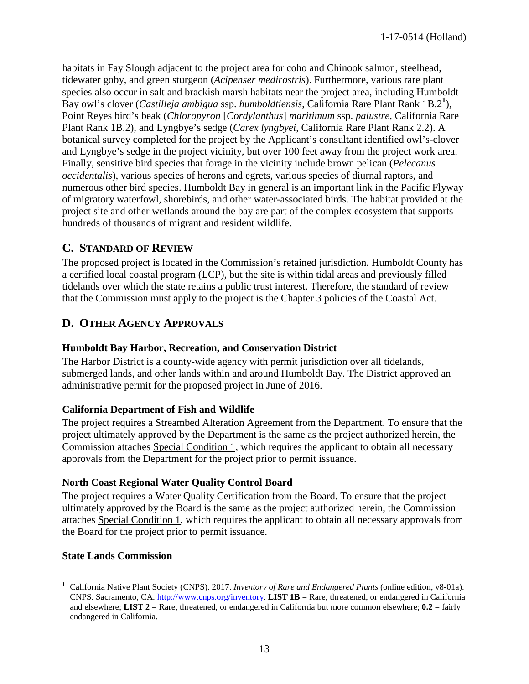habitats in Fay Slough adjacent to the project area for coho and Chinook salmon, steelhead, tidewater goby, and green sturgeon (*Acipenser medirostris*). Furthermore, various rare plant species also occur in salt and brackish marsh habitats near the project area, including Humboldt Bay owl's clover (*Castilleja ambigua* ssp. *humboldtiensis*, California Rare Plant Rank 1B.2**<sup>1</sup>** ), Point Reyes bird's beak (*Chloropyron* [*Cordylanthus*] *maritimum* ssp. *palustre*, California Rare Plant Rank 1B.2), and Lyngbye's sedge (*Carex lyngbyei*, California Rare Plant Rank 2.2). A botanical survey completed for the project by the Applicant's consultant identified owl's-clover and Lyngbye's sedge in the project vicinity, but over 100 feet away from the project work area. Finally, sensitive bird species that forage in the vicinity include brown pelican (*Pelecanus occidentalis*), various species of herons and egrets, various species of diurnal raptors, and numerous other bird species. Humboldt Bay in general is an important link in the Pacific Flyway of migratory waterfowl, shorebirds, and other water-associated birds. The habitat provided at the project site and other wetlands around the bay are part of the complex ecosystem that supports hundreds of thousands of migrant and resident wildlife.

## <span id="page-12-0"></span>**C. STANDARD OF REVIEW**

The proposed project is located in the Commission's retained jurisdiction. Humboldt County has a certified local coastal program (LCP), but the site is within tidal areas and previously filled tidelands over which the state retains a public trust interest. Therefore, the standard of review that the Commission must apply to the project is the Chapter 3 policies of the Coastal Act.

## <span id="page-12-1"></span>**D. OTHER AGENCY APPROVALS**

#### **Humboldt Bay Harbor, Recreation, and Conservation District**

The Harbor District is a county-wide agency with permit jurisdiction over all tidelands, submerged lands, and other lands within and around Humboldt Bay. The District approved an administrative permit for the proposed project in June of 2016.

### **California Department of Fish and Wildlife**

The project requires a Streambed Alteration Agreement from the Department. To ensure that the project ultimately approved by the Department is the same as the project authorized herein, the Commission attaches Special Condition 1, which requires the applicant to obtain all necessary approvals from the Department for the project prior to permit issuance.

### **North Coast Regional Water Quality Control Board**

The project requires a Water Quality Certification from the Board. To ensure that the project ultimately approved by the Board is the same as the project authorized herein, the Commission attaches Special Condition 1, which requires the applicant to obtain all necessary approvals from the Board for the project prior to permit issuance.

#### **State Lands Commission**

 $\overline{a}$ 1 California Native Plant Society (CNPS). 2017. *Inventory of Rare and Endangered Plants* (online edition, v8-01a). CNPS. Sacramento, CA. [http://www.cnps.org/inventory.](http://www.cnps.org/inventory) **LIST 1B** = Rare, threatened, or endangered in California and elsewhere; **LIST 2** = Rare, threatened, or endangered in California but more common elsewhere; **0.2** = fairly endangered in California.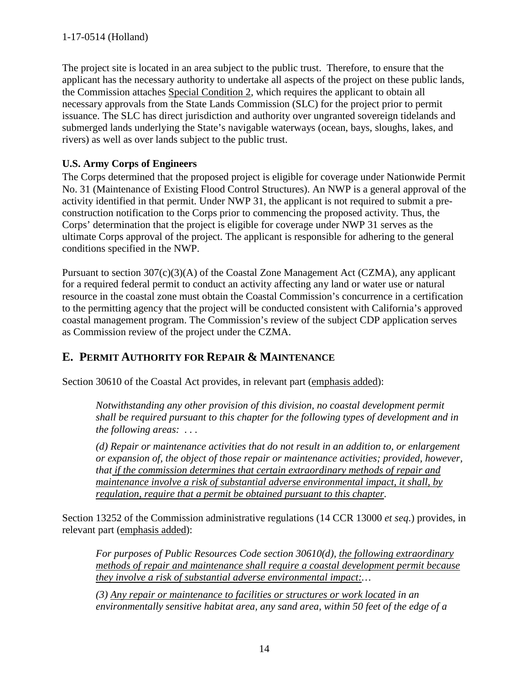The project site is located in an area subject to the public trust. Therefore, to ensure that the applicant has the necessary authority to undertake all aspects of the project on these public lands, the Commission attaches Special Condition 2, which requires the applicant to obtain all necessary approvals from the State Lands Commission (SLC) for the project prior to permit issuance. The SLC has direct jurisdiction and authority over ungranted sovereign tidelands and submerged lands underlying the State's navigable waterways (ocean, bays, sloughs, lakes, and rivers) as well as over lands subject to the public trust.

## **U.S. Army Corps of Engineers**

The Corps determined that the proposed project is eligible for coverage under Nationwide Permit No. 31 (Maintenance of Existing Flood Control Structures). An NWP is a general approval of the activity identified in that permit. Under NWP 31, the applicant is not required to submit a preconstruction notification to the Corps prior to commencing the proposed activity. Thus, the Corps' determination that the project is eligible for coverage under NWP 31 serves as the ultimate Corps approval of the project. The applicant is responsible for adhering to the general conditions specified in the NWP.

Pursuant to section 307(c)(3)(A) of the Coastal Zone Management Act (CZMA), any applicant for a required federal permit to conduct an activity affecting any land or water use or natural resource in the coastal zone must obtain the Coastal Commission's concurrence in a certification to the permitting agency that the project will be conducted consistent with California's approved coastal management program. The Commission's review of the subject CDP application serves as Commission review of the project under the CZMA.

## <span id="page-13-0"></span>**E. PERMIT AUTHORITY FOR REPAIR & MAINTENANCE**

Section 30610 of the Coastal Act provides, in relevant part (emphasis added):

*Notwithstanding any other provision of this division, no coastal development permit shall be required pursuant to this chapter for the following types of development and in the following areas: . . .* 

*(d) Repair or maintenance activities that do not result in an addition to, or enlargement or expansion of, the object of those repair or maintenance activities; provided, however, that if the commission determines that certain extraordinary methods of repair and maintenance involve a risk of substantial adverse environmental impact, it shall, by regulation, require that a permit be obtained pursuant to this chapter.*

Section 13252 of the Commission administrative regulations (14 CCR 13000 *et seq*.) provides, in relevant part (emphasis added):

*For purposes of Public Resources Code section 30610(d), the following extraordinary methods of repair and maintenance shall require a coastal development permit because they involve a risk of substantial adverse environmental impact:…* 

*(3) Any repair or maintenance to facilities or structures or work located in an environmentally sensitive habitat area, any sand area, within 50 feet of the edge of a*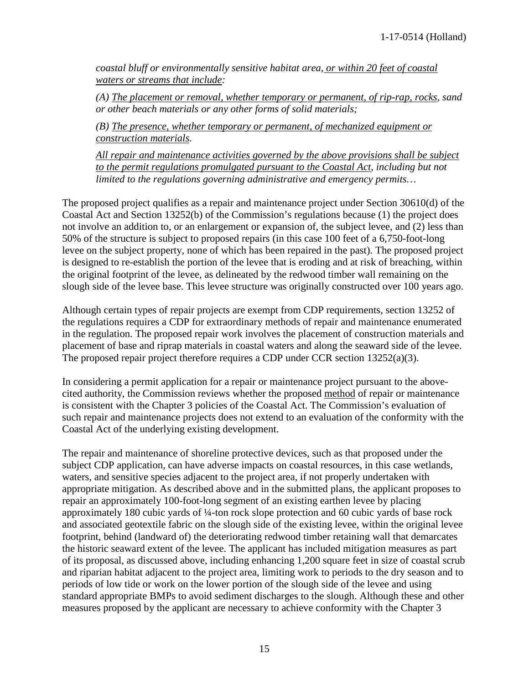*coastal bluff or environmentally sensitive habitat area, or within 20 feet of coastal waters or streams that include:* 

*(A) The placement or removal, whether temporary or permanent, of rip-rap, rocks, sand or other beach materials or any other forms of solid materials;* 

*(B) The presence, whether temporary or permanent, of mechanized equipment or construction materials.* 

*All repair and maintenance activities governed by the above provisions shall be subject*  to the permit regulations promulgated pursuant to the Coastal Act, including but not *limited to the regulations governing administrative and emergency permits…* 

The proposed project qualifies as a repair and maintenance project under Section 30610(d) of the Coastal Act and Section 13252(b) of the Commission's regulations because (1) the project does not involve an addition to, or an enlargement or expansion of, the subject levee, and (2) less than 50% of the structure is subject to proposed repairs (in this case 100 feet of a 6,750-foot-long levee on the subject property, none of which has been repaired in the past). The proposed project is designed to re-establish the portion of the levee that is eroding and at risk of breaching, within the original footprint of the levee, as delineated by the redwood timber wall remaining on the slough side of the levee base. This levee structure was originally constructed over 100 years ago.

Although certain types of repair projects are exempt from CDP requirements, section 13252 of the regulations requires a CDP for extraordinary methods of repair and maintenance enumerated in the regulation. The proposed repair work involves the placement of construction materials and placement of base and riprap materials in coastal waters and along the seaward side of the levee. The proposed repair project therefore requires a CDP under CCR section 13252(a)(3).

In considering a permit application for a repair or maintenance project pursuant to the abovecited authority, the Commission reviews whether the proposed method of repair or maintenance is consistent with the Chapter 3 policies of the Coastal Act. The Commission's evaluation of such repair and maintenance projects does not extend to an evaluation of the conformity with the Coastal Act of the underlying existing development.

The repair and maintenance of shoreline protective devices, such as that proposed under the subject CDP application, can have adverse impacts on coastal resources, in this case wetlands, waters, and sensitive species adjacent to the project area, if not properly undertaken with appropriate mitigation. As described above and in the submitted plans, the applicant proposes to repair an approximately 100-foot-long segment of an existing earthen levee by placing approximately 180 cubic yards of ¼-ton rock slope protection and 60 cubic yards of base rock and associated geotextile fabric on the slough side of the existing levee, within the original levee footprint, behind (landward of) the deteriorating redwood timber retaining wall that demarcates the historic seaward extent of the levee. The applicant has included mitigation measures as part of its proposal, as discussed above, including enhancing 1,200 square feet in size of coastal scrub and riparian habitat adjacent to the project area, limiting work to periods to the dry season and to periods of low tide or work on the lower portion of the slough side of the levee and using standard appropriate BMPs to avoid sediment discharges to the slough. Although these and other measures proposed by the applicant are necessary to achieve conformity with the Chapter 3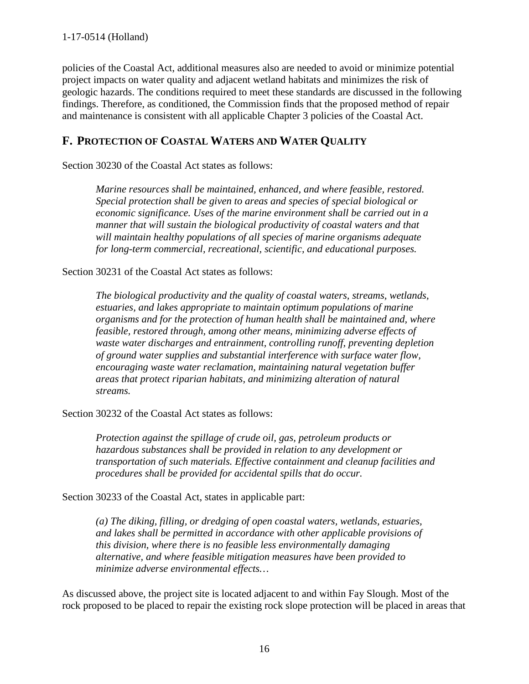policies of the Coastal Act, additional measures also are needed to avoid or minimize potential project impacts on water quality and adjacent wetland habitats and minimizes the risk of geologic hazards. The conditions required to meet these standards are discussed in the following findings. Therefore, as conditioned, the Commission finds that the proposed method of repair and maintenance is consistent with all applicable Chapter 3 policies of the Coastal Act.

## <span id="page-15-0"></span>**F. PROTECTION OF COASTAL WATERS AND WATER QUALITY**

Section 30230 of the Coastal Act states as follows:

*Marine resources shall be maintained, enhanced, and where feasible, restored. Special protection shall be given to areas and species of special biological or economic significance. Uses of the marine environment shall be carried out in a manner that will sustain the biological productivity of coastal waters and that will maintain healthy populations of all species of marine organisms adequate for long-term commercial, recreational, scientific, and educational purposes.* 

Section 30231 of the Coastal Act states as follows:

*The biological productivity and the quality of coastal waters, streams, wetlands, estuaries, and lakes appropriate to maintain optimum populations of marine organisms and for the protection of human health shall be maintained and, where feasible, restored through, among other means, minimizing adverse effects of waste water discharges and entrainment, controlling runoff, preventing depletion of ground water supplies and substantial interference with surface water flow, encouraging waste water reclamation, maintaining natural vegetation buffer areas that protect riparian habitats, and minimizing alteration of natural streams.*

Section 30232 of the Coastal Act states as follows:

*Protection against the spillage of crude oil, gas, petroleum products or hazardous substances shall be provided in relation to any development or transportation of such materials. Effective containment and cleanup facilities and procedures shall be provided for accidental spills that do occur.* 

Section 30233 of the Coastal Act, states in applicable part:

*(a) The diking, filling, or dredging of open coastal waters, wetlands, estuaries, and lakes shall be permitted in accordance with other applicable provisions of this division, where there is no feasible less environmentally damaging alternative, and where feasible mitigation measures have been provided to minimize adverse environmental effects…*

As discussed above, the project site is located adjacent to and within Fay Slough. Most of the rock proposed to be placed to repair the existing rock slope protection will be placed in areas that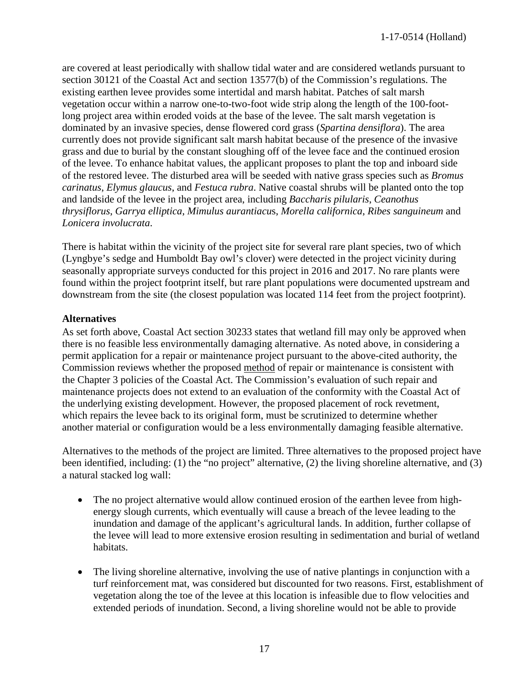are covered at least periodically with shallow tidal water and are considered wetlands pursuant to section 30121 of the Coastal Act and section 13577(b) of the Commission's regulations. The existing earthen levee provides some intertidal and marsh habitat. Patches of salt marsh vegetation occur within a narrow one-to-two-foot wide strip along the length of the 100-footlong project area within eroded voids at the base of the levee. The salt marsh vegetation is dominated by an invasive species, dense flowered cord grass (*Spartina densiflora*). The area currently does not provide significant salt marsh habitat because of the presence of the invasive grass and due to burial by the constant sloughing off of the levee face and the continued erosion of the levee. To enhance habitat values, the applicant proposes to plant the top and inboard side of the restored levee. The disturbed area will be seeded with native grass species such as *Bromus carinatus*, *Elymus glaucus*, and *Festuca rubra*. Native coastal shrubs will be planted onto the top and landside of the levee in the project area, including *Baccharis pilularis*, *Ceanothus thrysiflorus*, *Garrya elliptica*, *Mimulus aurantiacu*s, *Morella californica*, *Ribes sanguineum* and *Lonicera involucrata*.

There is habitat within the vicinity of the project site for several rare plant species, two of which (Lyngbye's sedge and Humboldt Bay owl's clover) were detected in the project vicinity during seasonally appropriate surveys conducted for this project in 2016 and 2017. No rare plants were found within the project footprint itself, but rare plant populations were documented upstream and downstream from the site (the closest population was located 114 feet from the project footprint).

#### **Alternatives**

As set forth above, Coastal Act section 30233 states that wetland fill may only be approved when there is no feasible less environmentally damaging alternative. As noted above, in considering a permit application for a repair or maintenance project pursuant to the above-cited authority, the Commission reviews whether the proposed method of repair or maintenance is consistent with the Chapter 3 policies of the Coastal Act. The Commission's evaluation of such repair and maintenance projects does not extend to an evaluation of the conformity with the Coastal Act of the underlying existing development. However, the proposed placement of rock revetment, which repairs the levee back to its original form, must be scrutinized to determine whether another material or configuration would be a less environmentally damaging feasible alternative.

Alternatives to the methods of the project are limited. Three alternatives to the proposed project have been identified, including: (1) the "no project" alternative, (2) the living shoreline alternative, and (3) a natural stacked log wall:

- The no project alternative would allow continued erosion of the earthen levee from highenergy slough currents, which eventually will cause a breach of the levee leading to the inundation and damage of the applicant's agricultural lands. In addition, further collapse of the levee will lead to more extensive erosion resulting in sedimentation and burial of wetland habitats.
- The living shoreline alternative, involving the use of native plantings in conjunction with a turf reinforcement mat, was considered but discounted for two reasons. First, establishment of vegetation along the toe of the levee at this location is infeasible due to flow velocities and extended periods of inundation. Second, a living shoreline would not be able to provide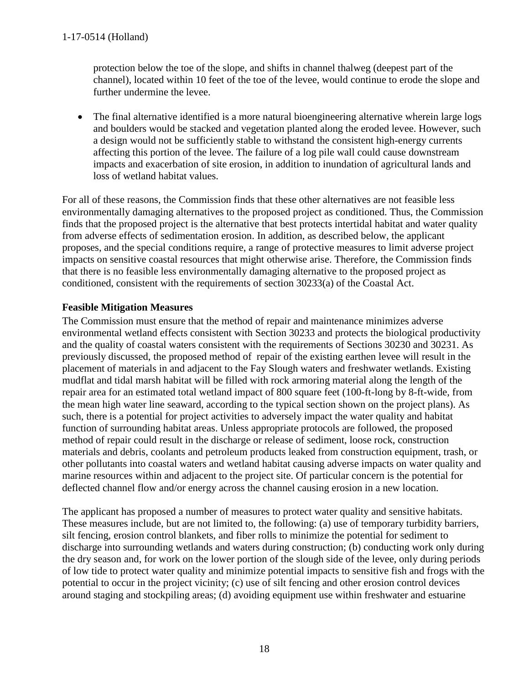protection below the toe of the slope, and shifts in channel thalweg (deepest part of the channel), located within 10 feet of the toe of the levee, would continue to erode the slope and further undermine the levee.

• The final alternative identified is a more natural bioengineering alternative wherein large logs and boulders would be stacked and vegetation planted along the eroded levee. However, such a design would not be sufficiently stable to withstand the consistent high-energy currents affecting this portion of the levee. The failure of a log pile wall could cause downstream impacts and exacerbation of site erosion, in addition to inundation of agricultural lands and loss of wetland habitat values.

For all of these reasons, the Commission finds that these other alternatives are not feasible less environmentally damaging alternatives to the proposed project as conditioned. Thus, the Commission finds that the proposed project is the alternative that best protects intertidal habitat and water quality from adverse effects of sedimentation erosion. In addition, as described below, the applicant proposes, and the special conditions require, a range of protective measures to limit adverse project impacts on sensitive coastal resources that might otherwise arise. Therefore, the Commission finds that there is no feasible less environmentally damaging alternative to the proposed project as conditioned, consistent with the requirements of section 30233(a) of the Coastal Act.

### **Feasible Mitigation Measures**

The Commission must ensure that the method of repair and maintenance minimizes adverse environmental wetland effects consistent with Section 30233 and protects the biological productivity and the quality of coastal waters consistent with the requirements of Sections 30230 and 30231. As previously discussed, the proposed method of repair of the existing earthen levee will result in the placement of materials in and adjacent to the Fay Slough waters and freshwater wetlands. Existing mudflat and tidal marsh habitat will be filled with rock armoring material along the length of the repair area for an estimated total wetland impact of 800 square feet (100-ft-long by 8-ft-wide, from the mean high water line seaward, according to the typical section shown on the project plans). As such, there is a potential for project activities to adversely impact the water quality and habitat function of surrounding habitat areas. Unless appropriate protocols are followed, the proposed method of repair could result in the discharge or release of sediment, loose rock, construction materials and debris, coolants and petroleum products leaked from construction equipment, trash, or other pollutants into coastal waters and wetland habitat causing adverse impacts on water quality and marine resources within and adjacent to the project site. Of particular concern is the potential for deflected channel flow and/or energy across the channel causing erosion in a new location.

The applicant has proposed a number of measures to protect water quality and sensitive habitats. These measures include, but are not limited to, the following: (a) use of temporary turbidity barriers, silt fencing, erosion control blankets, and fiber rolls to minimize the potential for sediment to discharge into surrounding wetlands and waters during construction; (b) conducting work only during the dry season and, for work on the lower portion of the slough side of the levee, only during periods of low tide to protect water quality and minimize potential impacts to sensitive fish and frogs with the potential to occur in the project vicinity; (c) use of silt fencing and other erosion control devices around staging and stockpiling areas; (d) avoiding equipment use within freshwater and estuarine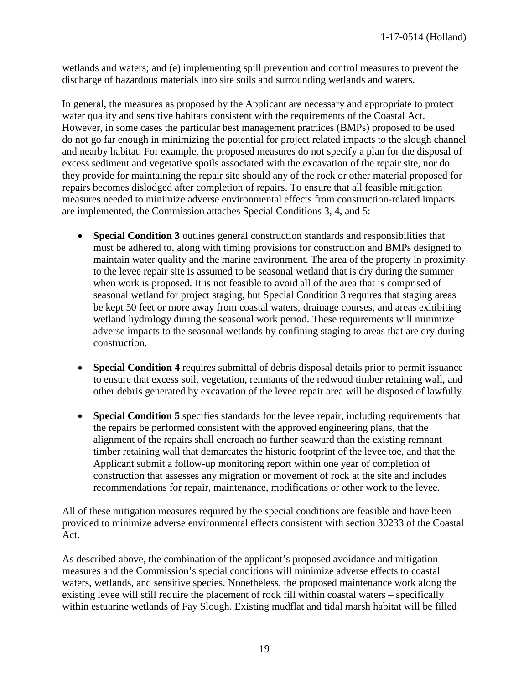wetlands and waters; and (e) implementing spill prevention and control measures to prevent the discharge of hazardous materials into site soils and surrounding wetlands and waters.

In general, the measures as proposed by the Applicant are necessary and appropriate to protect water quality and sensitive habitats consistent with the requirements of the Coastal Act. However, in some cases the particular best management practices (BMPs) proposed to be used do not go far enough in minimizing the potential for project related impacts to the slough channel and nearby habitat. For example, the proposed measures do not specify a plan for the disposal of excess sediment and vegetative spoils associated with the excavation of the repair site, nor do they provide for maintaining the repair site should any of the rock or other material proposed for repairs becomes dislodged after completion of repairs. To ensure that all feasible mitigation measures needed to minimize adverse environmental effects from construction-related impacts are implemented, the Commission attaches Special Conditions 3, 4, and 5:

- **Special Condition 3** outlines general construction standards and responsibilities that must be adhered to, along with timing provisions for construction and BMPs designed to maintain water quality and the marine environment. The area of the property in proximity to the levee repair site is assumed to be seasonal wetland that is dry during the summer when work is proposed. It is not feasible to avoid all of the area that is comprised of seasonal wetland for project staging, but Special Condition 3 requires that staging areas be kept 50 feet or more away from coastal waters, drainage courses, and areas exhibiting wetland hydrology during the seasonal work period. These requirements will minimize adverse impacts to the seasonal wetlands by confining staging to areas that are dry during construction.
- **Special Condition 4** requires submittal of debris disposal details prior to permit issuance to ensure that excess soil, vegetation, remnants of the redwood timber retaining wall, and other debris generated by excavation of the levee repair area will be disposed of lawfully.
- **Special Condition 5** specifies standards for the levee repair, including requirements that the repairs be performed consistent with the approved engineering plans, that the alignment of the repairs shall encroach no further seaward than the existing remnant timber retaining wall that demarcates the historic footprint of the levee toe, and that the Applicant submit a follow-up monitoring report within one year of completion of construction that assesses any migration or movement of rock at the site and includes recommendations for repair, maintenance, modifications or other work to the levee.

All of these mitigation measures required by the special conditions are feasible and have been provided to minimize adverse environmental effects consistent with section 30233 of the Coastal Act.

As described above, the combination of the applicant's proposed avoidance and mitigation measures and the Commission's special conditions will minimize adverse effects to coastal waters, wetlands, and sensitive species. Nonetheless, the proposed maintenance work along the existing levee will still require the placement of rock fill within coastal waters – specifically within estuarine wetlands of Fay Slough. Existing mudflat and tidal marsh habitat will be filled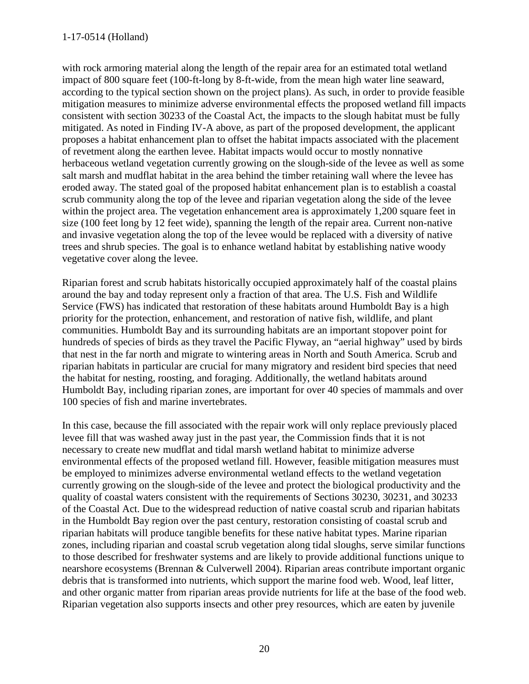with rock armoring material along the length of the repair area for an estimated total wetland impact of 800 square feet (100-ft-long by 8-ft-wide, from the mean high water line seaward, according to the typical section shown on the project plans). As such, in order to provide feasible mitigation measures to minimize adverse environmental effects the proposed wetland fill impacts consistent with section 30233 of the Coastal Act, the impacts to the slough habitat must be fully mitigated. As noted in Finding IV-A above, as part of the proposed development, the applicant proposes a habitat enhancement plan to offset the habitat impacts associated with the placement of revetment along the earthen levee. Habitat impacts would occur to mostly nonnative herbaceous wetland vegetation currently growing on the slough-side of the levee as well as some salt marsh and mudflat habitat in the area behind the timber retaining wall where the levee has eroded away. The stated goal of the proposed habitat enhancement plan is to establish a coastal scrub community along the top of the levee and riparian vegetation along the side of the levee within the project area. The vegetation enhancement area is approximately 1,200 square feet in size (100 feet long by 12 feet wide), spanning the length of the repair area. Current non-native and invasive vegetation along the top of the levee would be replaced with a diversity of native trees and shrub species. The goal is to enhance wetland habitat by establishing native woody vegetative cover along the levee.

Riparian forest and scrub habitats historically occupied approximately half of the coastal plains around the bay and today represent only a fraction of that area. The U.S. Fish and Wildlife Service (FWS) has indicated that restoration of these habitats around Humboldt Bay is a high priority for the protection, enhancement, and restoration of native fish, wildlife, and plant communities. Humboldt Bay and its surrounding habitats are an important stopover point for hundreds of species of birds as they travel the Pacific Flyway, an "aerial highway" used by birds that nest in the far north and migrate to wintering areas in North and South America. Scrub and riparian habitats in particular are crucial for many migratory and resident bird species that need the habitat for nesting, roosting, and foraging. Additionally, the wetland habitats around Humboldt Bay, including riparian zones, are important for over 40 species of mammals and over 100 species of fish and marine invertebrates.

In this case, because the fill associated with the repair work will only replace previously placed levee fill that was washed away just in the past year, the Commission finds that it is not necessary to create new mudflat and tidal marsh wetland habitat to minimize adverse environmental effects of the proposed wetland fill. However, feasible mitigation measures must be employed to minimizes adverse environmental wetland effects to the wetland vegetation currently growing on the slough-side of the levee and protect the biological productivity and the quality of coastal waters consistent with the requirements of Sections 30230, 30231, and 30233 of the Coastal Act. Due to the widespread reduction of native coastal scrub and riparian habitats in the Humboldt Bay region over the past century, restoration consisting of coastal scrub and riparian habitats will produce tangible benefits for these native habitat types. Marine riparian zones, including riparian and coastal scrub vegetation along tidal sloughs, serve similar functions to those described for freshwater systems and are likely to provide additional functions unique to nearshore ecosystems (Brennan & Culverwell 2004). Riparian areas contribute important organic debris that is transformed into nutrients, which support the marine food web. Wood, leaf litter, and other organic matter from riparian areas provide nutrients for life at the base of the food web. Riparian vegetation also supports insects and other prey resources, which are eaten by juvenile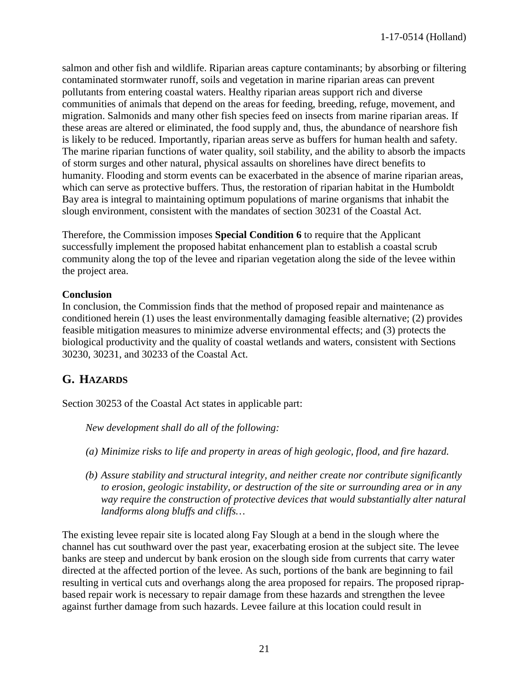salmon and other fish and wildlife. Riparian areas capture contaminants; by absorbing or filtering contaminated stormwater runoff, soils and vegetation in marine riparian areas can prevent pollutants from entering coastal waters. Healthy riparian areas support rich and diverse communities of animals that depend on the areas for feeding, breeding, refuge, movement, and migration. Salmonids and many other fish species feed on insects from marine riparian areas. If these areas are altered or eliminated, the food supply and, thus, the abundance of nearshore fish is likely to be reduced. Importantly, riparian areas serve as buffers for human health and safety. The marine riparian functions of water quality, soil stability, and the ability to absorb the impacts of storm surges and other natural, physical assaults on shorelines have direct benefits to humanity. Flooding and storm events can be exacerbated in the absence of marine riparian areas, which can serve as protective buffers. Thus, the restoration of riparian habitat in the Humboldt Bay area is integral to maintaining optimum populations of marine organisms that inhabit the slough environment, consistent with the mandates of section 30231 of the Coastal Act.

Therefore, the Commission imposes **Special Condition 6** to require that the Applicant successfully implement the proposed habitat enhancement plan to establish a coastal scrub community along the top of the levee and riparian vegetation along the side of the levee within the project area.

#### **Conclusion**

In conclusion, the Commission finds that the method of proposed repair and maintenance as conditioned herein (1) uses the least environmentally damaging feasible alternative; (2) provides feasible mitigation measures to minimize adverse environmental effects; and (3) protects the biological productivity and the quality of coastal wetlands and waters, consistent with Sections 30230, 30231, and 30233 of the Coastal Act.

## <span id="page-20-0"></span>**G. HAZARDS**

Section 30253 of the Coastal Act states in applicable part:

 *New development shall do all of the following:* 

- *(a) Minimize risks to life and property in areas of high geologic, flood, and fire hazard.*
- *(b) Assure stability and structural integrity, and neither create nor contribute significantly to erosion, geologic instability, or destruction of the site or surrounding area or in any way require the construction of protective devices that would substantially alter natural landforms along bluffs and cliffs…*

The existing levee repair site is located along Fay Slough at a bend in the slough where the channel has cut southward over the past year, exacerbating erosion at the subject site. The levee banks are steep and undercut by bank erosion on the slough side from currents that carry water directed at the affected portion of the levee. As such, portions of the bank are beginning to fail resulting in vertical cuts and overhangs along the area proposed for repairs. The proposed riprapbased repair work is necessary to repair damage from these hazards and strengthen the levee against further damage from such hazards. Levee failure at this location could result in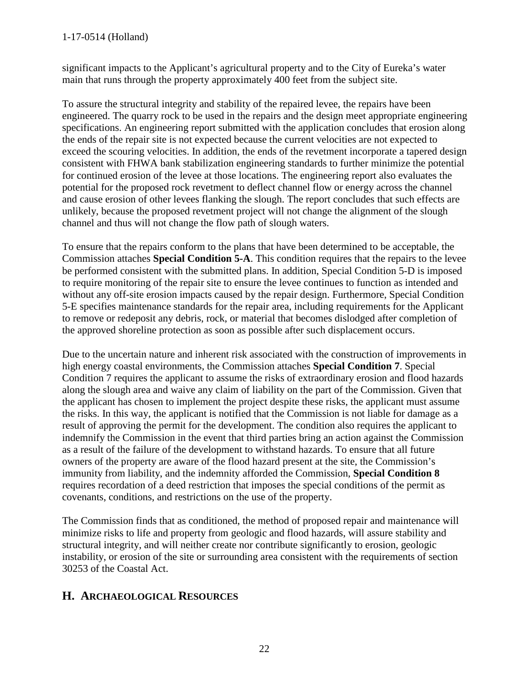#### 1-17-0514 (Holland)

significant impacts to the Applicant's agricultural property and to the City of Eureka's water main that runs through the property approximately 400 feet from the subject site.

To assure the structural integrity and stability of the repaired levee, the repairs have been engineered. The quarry rock to be used in the repairs and the design meet appropriate engineering specifications. An engineering report submitted with the application concludes that erosion along the ends of the repair site is not expected because the current velocities are not expected to exceed the scouring velocities. In addition, the ends of the revetment incorporate a tapered design consistent with FHWA bank stabilization engineering standards to further minimize the potential for continued erosion of the levee at those locations. The engineering report also evaluates the potential for the proposed rock revetment to deflect channel flow or energy across the channel and cause erosion of other levees flanking the slough. The report concludes that such effects are unlikely, because the proposed revetment project will not change the alignment of the slough channel and thus will not change the flow path of slough waters.

To ensure that the repairs conform to the plans that have been determined to be acceptable, the Commission attaches **Special Condition 5-A**. This condition requires that the repairs to the levee be performed consistent with the submitted plans. In addition, Special Condition 5-D is imposed to require monitoring of the repair site to ensure the levee continues to function as intended and without any off-site erosion impacts caused by the repair design. Furthermore, Special Condition 5-E specifies maintenance standards for the repair area, including requirements for the Applicant to remove or redeposit any debris, rock, or material that becomes dislodged after completion of the approved shoreline protection as soon as possible after such displacement occurs.

Due to the uncertain nature and inherent risk associated with the construction of improvements in high energy coastal environments, the Commission attaches **Special Condition 7**. Special Condition 7 requires the applicant to assume the risks of extraordinary erosion and flood hazards along the slough area and waive any claim of liability on the part of the Commission. Given that the applicant has chosen to implement the project despite these risks, the applicant must assume the risks. In this way, the applicant is notified that the Commission is not liable for damage as a result of approving the permit for the development. The condition also requires the applicant to indemnify the Commission in the event that third parties bring an action against the Commission as a result of the failure of the development to withstand hazards. To ensure that all future owners of the property are aware of the flood hazard present at the site, the Commission's immunity from liability, and the indemnity afforded the Commission, **Special Condition 8** requires recordation of a deed restriction that imposes the special conditions of the permit as covenants, conditions, and restrictions on the use of the property.

The Commission finds that as conditioned, the method of proposed repair and maintenance will minimize risks to life and property from geologic and flood hazards, will assure stability and structural integrity, and will neither create nor contribute significantly to erosion, geologic instability, or erosion of the site or surrounding area consistent with the requirements of section 30253 of the Coastal Act.

## <span id="page-21-0"></span>**H. ARCHAEOLOGICAL RESOURCES**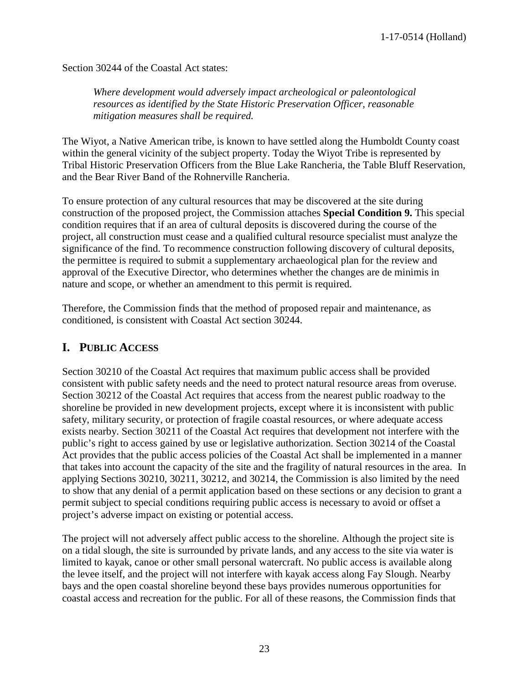Section 30244 of the Coastal Act states:

*Where development would adversely impact archeological or paleontological resources as identified by the State Historic Preservation Officer, reasonable mitigation measures shall be required.* 

The Wiyot, a Native American tribe, is known to have settled along the Humboldt County coast within the general vicinity of the subject property. Today the Wiyot Tribe is represented by Tribal Historic Preservation Officers from the Blue Lake Rancheria, the Table Bluff Reservation, and the Bear River Band of the Rohnerville Rancheria.

To ensure protection of any cultural resources that may be discovered at the site during construction of the proposed project, the Commission attaches **Special Condition 9.** This special condition requires that if an area of cultural deposits is discovered during the course of the project, all construction must cease and a qualified cultural resource specialist must analyze the significance of the find. To recommence construction following discovery of cultural deposits, the permittee is required to submit a supplementary archaeological plan for the review and approval of the Executive Director, who determines whether the changes are de minimis in nature and scope, or whether an amendment to this permit is required.

Therefore, the Commission finds that the method of proposed repair and maintenance, as conditioned, is consistent with Coastal Act section 30244.

### <span id="page-22-0"></span>**I. PUBLIC ACCESS**

Section 30210 of the Coastal Act requires that maximum public access shall be provided consistent with public safety needs and the need to protect natural resource areas from overuse. Section 30212 of the Coastal Act requires that access from the nearest public roadway to the shoreline be provided in new development projects, except where it is inconsistent with public safety, military security, or protection of fragile coastal resources, or where adequate access exists nearby. Section 30211 of the Coastal Act requires that development not interfere with the public's right to access gained by use or legislative authorization. Section 30214 of the Coastal Act provides that the public access policies of the Coastal Act shall be implemented in a manner that takes into account the capacity of the site and the fragility of natural resources in the area. In applying Sections 30210, 30211, 30212, and 30214, the Commission is also limited by the need to show that any denial of a permit application based on these sections or any decision to grant a permit subject to special conditions requiring public access is necessary to avoid or offset a project's adverse impact on existing or potential access.

The project will not adversely affect public access to the shoreline. Although the project site is on a tidal slough, the site is surrounded by private lands, and any access to the site via water is limited to kayak, canoe or other small personal watercraft. No public access is available along the levee itself, and the project will not interfere with kayak access along Fay Slough. Nearby bays and the open coastal shoreline beyond these bays provides numerous opportunities for coastal access and recreation for the public. For all of these reasons, the Commission finds that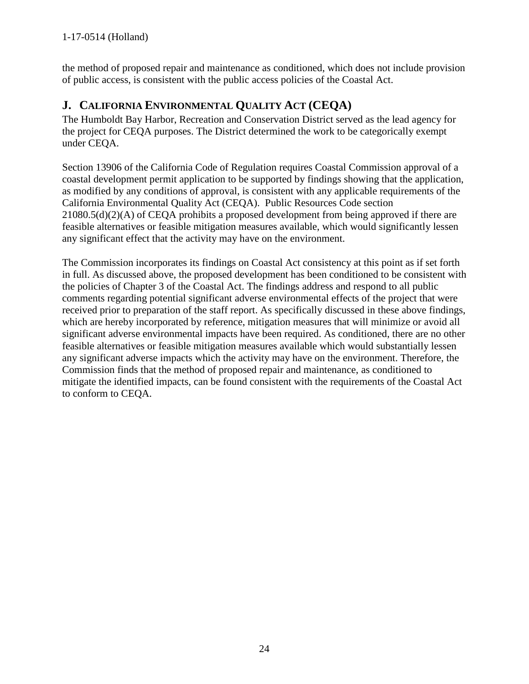the method of proposed repair and maintenance as conditioned, which does not include provision of public access, is consistent with the public access policies of the Coastal Act.

## <span id="page-23-0"></span>**J. CALIFORNIA ENVIRONMENTAL QUALITY ACT (CEQA)**

The Humboldt Bay Harbor, Recreation and Conservation District served as the lead agency for the project for CEQA purposes. The District determined the work to be categorically exempt under CEQA.

Section 13906 of the California Code of Regulation requires Coastal Commission approval of a coastal development permit application to be supported by findings showing that the application, as modified by any conditions of approval, is consistent with any applicable requirements of the California Environmental Quality Act (CEQA). Public Resources Code section 21080.5(d)(2)(A) of CEQA prohibits a proposed development from being approved if there are feasible alternatives or feasible mitigation measures available, which would significantly lessen any significant effect that the activity may have on the environment.

The Commission incorporates its findings on Coastal Act consistency at this point as if set forth in full. As discussed above, the proposed development has been conditioned to be consistent with the policies of Chapter 3 of the Coastal Act. The findings address and respond to all public comments regarding potential significant adverse environmental effects of the project that were received prior to preparation of the staff report. As specifically discussed in these above findings, which are hereby incorporated by reference, mitigation measures that will minimize or avoid all significant adverse environmental impacts have been required. As conditioned, there are no other feasible alternatives or feasible mitigation measures available which would substantially lessen any significant adverse impacts which the activity may have on the environment. Therefore, the Commission finds that the method of proposed repair and maintenance, as conditioned to mitigate the identified impacts, can be found consistent with the requirements of the Coastal Act to conform to CEQA.